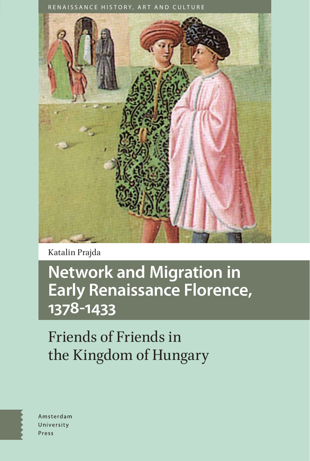

Katalin Prajda

# **Network and Migration in Early Renaissance Florence, 1378-1433**

Friends of Friends in the Kingdom of Hungary



Amsterdam University Press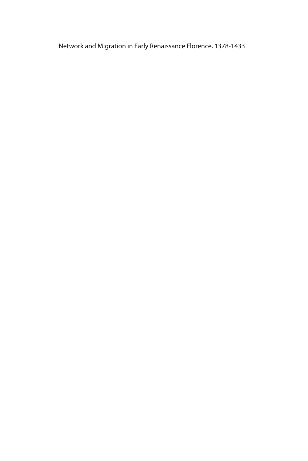Network and Migration in Early Renaissance Florence, 1378-1433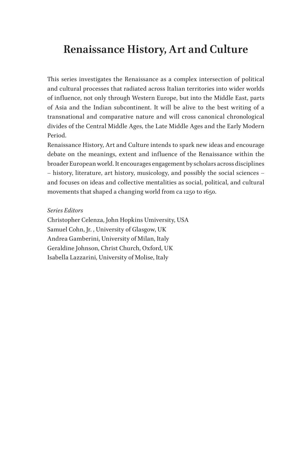### **Renaissance History, Art and Culture**

This series investigates the Renaissance as a complex intersection of political and cultural processes that radiated across Italian territories into wider worlds of influence, not only through Western Europe, but into the Middle East, parts of Asia and the Indian subcontinent. It will be alive to the best writing of a transnational and comparative nature and will cross canonical chronological divides of the Central Middle Ages, the Late Middle Ages and the Early Modern Period.

Renaissance History, Art and Culture intends to spark new ideas and encourage debate on the meanings, extent and influence of the Renaissance within the broader European world. It encourages engagement by scholars across disciplines – history, literature, art history, musicology, and possibly the social sciences – and focuses on ideas and collective mentalities as social, political, and cultural movements that shaped a changing world from ca 1250 to 1650.

#### *Series Editors*

Christopher Celenza, John Hopkins Umiversity, USA Samuel Cohn, Jr. , University of Glasgow, UK Andrea Gamberini, University of Milan, Italy Geraldine Johnson, Christ Church, Oxford, UK Isabella Lazzarini, University of Molise, Italy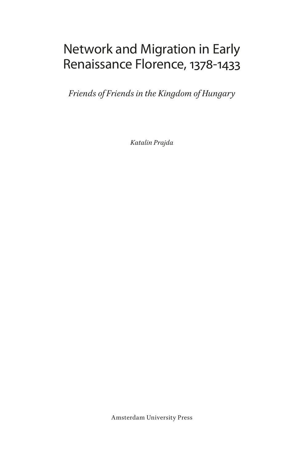# Network and Migration in Early Renaissance Florence, 1378-1433

*Friends of Friends in the Kingdom of Hungary*

*Katalin Prajda*

Amsterdam University Press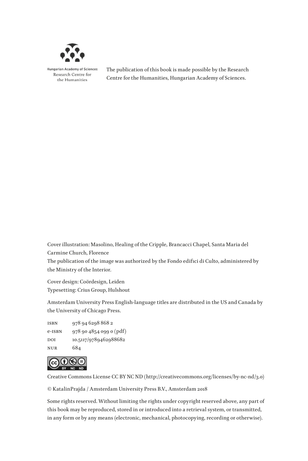

**Hungarian Academy of Sciences** Research Centre for the Humanities

The publication of this book is made possible by the Research Centre for the Humanities, Hungarian Academy of Sciences.

Cover illustration: Masolino, Healing of the Cripple, Brancacci Chapel, Santa Maria del Carmine Church, Florence

The publication of the image was authorized by the Fondo edifici di Culto, administered by the Ministry of the Interior.

Cover design: Coördesign, Leiden Typesetting: Crius Group, Hulshout

Amsterdam University Press English-language titles are distributed in the US and Canada by the University of Chicago Press.

isbn 978 94 6298 868 2 e-isbn 978 90 4854 099 0 (pdf) DOI 10.5117/9789462988682 nur 684



Creative Commons License CC BY NC ND (http://creativecommons.org/licenses/by-nc-nd/3.0)

© KatalinPrajda / Amsterdam University Press B.V., Amsterdam 2018

Some rights reserved. Without limiting the rights under copyright reserved above, any part of this book may be reproduced, stored in or introduced into a retrieval system, or transmitted, in any form or by any means (electronic, mechanical, photocopying, recording or otherwise).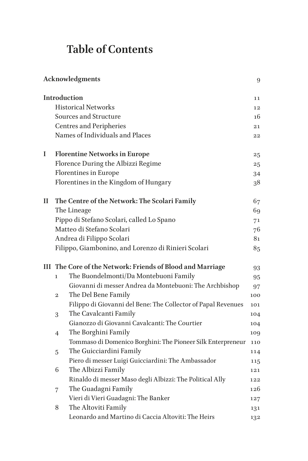## **Table of Contents**

|   | <b>Acknowledgments</b>                                           |                                                               |     |  |  |
|---|------------------------------------------------------------------|---------------------------------------------------------------|-----|--|--|
|   |                                                                  | Introduction                                                  | 11  |  |  |
|   |                                                                  | <b>Historical Networks</b>                                    | 12  |  |  |
|   |                                                                  | Sources and Structure                                         | 16  |  |  |
|   |                                                                  | <b>Centres and Peripheries</b>                                | 21  |  |  |
|   |                                                                  | Names of Individuals and Places                               | 22  |  |  |
| I |                                                                  | <b>Florentine Networks in Europe</b>                          | 25  |  |  |
|   |                                                                  | Florence During the Albizzi Regime                            | 25  |  |  |
|   | <b>Florentines in Europe</b>                                     |                                                               | 34  |  |  |
|   |                                                                  | Florentines in the Kingdom of Hungary                         | 38  |  |  |
| П |                                                                  | The Centre of the Network: The Scolari Family                 | 67  |  |  |
|   |                                                                  | The Lineage                                                   | 69  |  |  |
|   |                                                                  | Pippo di Stefano Scolari, called Lo Spano                     | 71  |  |  |
|   |                                                                  | Matteo di Stefano Scolari                                     | 76  |  |  |
|   |                                                                  | Andrea di Filippo Scolari                                     | 81  |  |  |
|   |                                                                  | Filippo, Giambonino, and Lorenzo di Rinieri Scolari           | 85  |  |  |
|   | III The Core of the Network: Friends of Blood and Marriage<br>93 |                                                               |     |  |  |
|   | 1                                                                | The Buondelmonti/Da Montebuoni Family                         | 95  |  |  |
|   |                                                                  | Giovanni di messer Andrea da Montebuoni: The Archbishop       | 97  |  |  |
|   | $\overline{2}$                                                   | The Del Bene Family                                           | 100 |  |  |
|   |                                                                  | Filippo di Giovanni del Bene: The Collector of Papal Revenues | 101 |  |  |
|   | 3                                                                | The Cavalcanti Family                                         | 104 |  |  |
|   |                                                                  | Gianozzo di Giovanni Cavalcanti: The Courtier                 | 104 |  |  |
|   | $\overline{4}$                                                   | The Borghini Family                                           | 109 |  |  |
|   |                                                                  | Tommaso di Domenico Borghini: The Pioneer Silk Enterpreneur   | 110 |  |  |
|   | 5                                                                | The Guicciardini Family                                       | 114 |  |  |
|   |                                                                  | Piero di messer Luigi Guicciardini: The Ambassador            | 115 |  |  |
|   | 6                                                                | The Albizzi Family                                            | 121 |  |  |
|   |                                                                  | Rinaldo di messer Maso degli Albizzi: The Political Ally      | 122 |  |  |
|   | 7                                                                | The Guadagni Family                                           | 126 |  |  |
|   |                                                                  | Vieri di Vieri Guadagni: The Banker                           | 127 |  |  |
|   | 8                                                                | The Altoviti Family                                           | 131 |  |  |
|   |                                                                  | Leonardo and Martino di Caccia Altoviti: The Heirs            | 132 |  |  |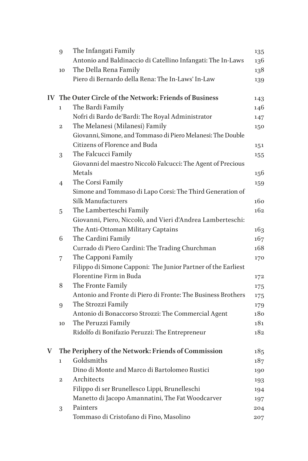|   | 9                | The Infangati Family                                          | 135 |
|---|------------------|---------------------------------------------------------------|-----|
|   |                  | Antonio and Baldinaccio di Catellino Infangati: The In-Laws   | 136 |
|   | 10               | The Della Rena Family                                         | 138 |
|   |                  | Piero di Bernardo della Rena: The In-Laws' In-Law             | 139 |
|   |                  |                                                               |     |
|   |                  | IV The Outer Circle of the Network: Friends of Business       | 143 |
|   | 1                | The Bardi Family                                              | 146 |
|   |                  | Nofri di Bardo de'Bardi: The Royal Administrator              | 147 |
|   | $\boldsymbol{2}$ | The Melanesi (Milanesi) Family                                | 150 |
|   |                  | Giovanni, Simone, and Tommaso di Piero Melanesi: The Double   |     |
|   |                  | Citizens of Florence and Buda                                 | 151 |
|   | 3                | The Falcucci Family                                           | 155 |
|   |                  | Giovanni del maestro Niccolò Falcucci: The Agent of Precious  |     |
|   |                  | Metals                                                        | 156 |
|   | 4                | The Corsi Family                                              | 159 |
|   |                  | Simone and Tommaso di Lapo Corsi: The Third Generation of     |     |
|   |                  | Silk Manufacturers                                            | 160 |
|   | 5                | The Lamberteschi Family                                       | 162 |
|   |                  | Giovanni, Piero, Niccolò, and Vieri d'Andrea Lamberteschi:    |     |
|   |                  | The Anti-Ottoman Military Captains                            | 163 |
|   | 6                | The Cardini Family                                            | 167 |
|   |                  | Currado di Piero Cardini: The Trading Churchman               | 168 |
|   | 7                | The Capponi Family                                            | 170 |
|   |                  | Filippo di Simone Capponi: The Junior Partner of the Earliest |     |
|   |                  | Florentine Firm in Buda                                       | 172 |
|   | 8                | The Fronte Family                                             | 175 |
|   |                  | Antonio and Fronte di Piero di Fronte: The Business Brothers  | 175 |
|   | 9                | The Strozzi Family                                            | 179 |
|   |                  | Antonio di Bonaccorso Strozzi: The Commercial Agent           | 180 |
|   | 10               | The Peruzzi Family                                            | 181 |
|   |                  | Ridolfo di Bonifazio Peruzzi: The Entrepreneur                | 182 |
|   |                  |                                                               |     |
| V |                  | The Periphery of the Network: Friends of Commission           | 185 |
|   | ı                | Goldsmiths                                                    | 187 |
|   |                  | Dino di Monte and Marco di Bartolomeo Rustici                 | 190 |
|   | $\mathbf 2$      | Architects                                                    | 193 |
|   |                  | Filippo di ser Brunellesco Lippi, Brunelleschi                | 194 |
|   |                  | Manetto di Jacopo Amannatini, The Fat Woodcarver              | 197 |
|   | 3                | Painters                                                      | 204 |
|   |                  | Tommaso di Cristofano di Fino, Masolino                       | 207 |
|   |                  |                                                               |     |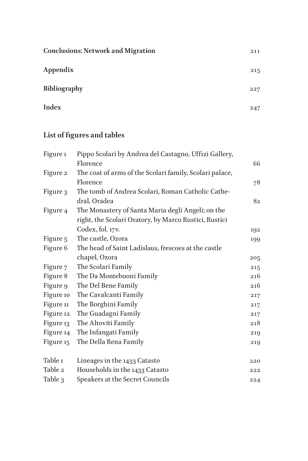| <b>Conclusions: Network and Migration</b> | 211 |
|-------------------------------------------|-----|
| Appendix                                  | 215 |
| Bibliography                              | 227 |
| Index                                     | 247 |

### **List of figures and tables**

| Figure 1  | Pippo Scolari by Andrea del Castagno, Uffizi Gallery,   |     |
|-----------|---------------------------------------------------------|-----|
|           | Florence                                                | 66  |
| Figure 2  | The coat of arms of the Scolari family, Scolari palace, |     |
|           | Florence                                                | 78  |
| Figure 3  | The tomb of Andrea Scolari, Roman Catholic Cathe-       |     |
|           | dral, Oradea                                            | 82  |
| Figure 4  | The Monastery of Santa Maria degli Angeli; on the       |     |
|           | right, the Scolari Oratory, by Marco Rustici, Rustici   |     |
|           | Codex, fol. 17v.                                        | 192 |
| Figure 5  | The castle, Ozora                                       | 199 |
| Figure 6  | The head of Saint Ladislaus, frescoes at the castle     |     |
|           | chapel, Ozora                                           | 205 |
| Figure 7  | The Scolari Family                                      | 215 |
| Figure 8  | The Da Montebuoni Family                                | 216 |
| Figure 9  | The Del Bene Family                                     | 216 |
| Figure 10 | The Cavalcanti Family                                   | 217 |
| Figure 11 | The Borghini Family                                     | 217 |
| Figure 12 | The Guadagni Family                                     | 217 |
| Figure 13 | The Altoviti Family                                     | 218 |
| Figure 14 | The Infangati Family                                    | 219 |
| Figure 15 | The Della Rena Family                                   | 219 |
| Table 1   | Lineages in the 1433 Catasto                            | 220 |
| Table 2   | Households in the 1433 Catasto                          | 222 |
| Table 3   | Speakers at the Secret Councils                         | 224 |
|           |                                                         |     |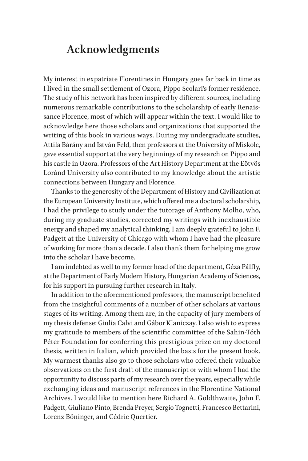### <span id="page-9-0"></span>**Acknowledgments**

My interest in expatriate Florentines in Hungary goes far back in time as I lived in the small settlement of Ozora, Pippo Scolari's former residence. The study of his network has been inspired by different sources, including numerous remarkable contributions to the scholarship of early Renaissance Florence, most of which will appear within the text. I would like to acknowledge here those scholars and organizations that supported the writing of this book in various ways. During my undergraduate studies, Attila Bárány and István Feld, then professors at the University of Miskolc, gave essential support at the very beginnings of my research on Pippo and his castle in Ozora. Professors of the Art History Department at the Eötvös Loránd University also contributed to my knowledge about the artistic connections between Hungary and Florence.

Thanks to the generosity of the Department of History and Civilization at the European University Institute, which offered me a doctoral scholarship, I had the privilege to study under the tutorage of Anthony Molho, who, during my graduate studies, corrected my writings with inexhaustible energy and shaped my analytical thinking. I am deeply grateful to John F. Padgett at the University of Chicago with whom I have had the pleasure of working for more than a decade. I also thank them for helping me grow into the scholar I have become.

I am indebted as well to my former head of the department, Géza Pálffy, at the Department of Early Modern History, Hungarian Academy of Sciences, for his support in pursuing further research in Italy.

In addition to the aforementioned professors, the manuscript benefited from the insightful comments of a number of other scholars at various stages of its writing. Among them are, in the capacity of jury members of my thesis defense: Giulia Calvi and Gábor Klaniczay. I also wish to express my gratitude to members of the scientific committee of the Sahin-Tóth Péter Foundation for conferring this prestigious prize on my doctoral thesis, written in Italian, which provided the basis for the present book. My warmest thanks also go to those scholars who offered their valuable observations on the first draft of the manuscript or with whom I had the opportunity to discuss parts of my research over the years, especially while exchanging ideas and manuscript references in the Florentine National Archives. I would like to mention here Richard A. Goldthwaite, John F. Padgett, Giuliano Pinto, Brenda Preyer, Sergio Tognetti, Francesco Bettarini, Lorenz Böninger, and Cédric Quertier.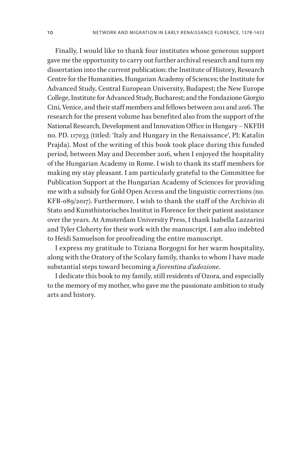Finally, I would like to thank four institutes whose generous support gave me the opportunity to carry out further archival research and turn my dissertation into the current publication: the Institute of History, Research Centre for the Humanities, Hungarian Academy of Sciences; the Institute for Advanced Study, Central European University, Budapest; the New Europe College, Institute for Advanced Study, Bucharest; and the Fondazione Giorgio Cini, Venice, and their staff members and fellows between 2011 and 2016. The research for the present volume has benefited also from the support of the National Research, Development and Innovation Office in Hungary – NKFIH no. PD. 117033 (titled: 'Italy and Hungary in the Renaissance', PI: Katalin Prajda). Most of the writing of this book took place during this funded period, between May and December 2016, when I enjoyed the hospitality of the Hungarian Academy in Rome. I wish to thank its staff members for making my stay pleasant. I am particularly grateful to the Committee for Publication Support at the Hungarian Academy of Sciences for providing me with a subsidy for Gold Open Access and the linguistic corrections (no. KFB-089/2017). Furthermore, I wish to thank the staff of the Archivio di Stato and Kunsthistorisches Institut in Florence for their patient assistance over the years. At Amsterdam University Press, I thank Isabella Lazzarini and Tyler Cloherty for their work with the manuscript. I am also indebted to Heidi Samuelson for proofreading the entire manuscript.

I express my gratitude to Tiziana Borgogni for her warm hospitality, along with the Oratory of the Scolary family, thanks to whom I have made substantial steps toward becoming a *fiorentina d'adozione*.

I dedicate this book to my family, still residents of Ozora, and especially to the memory of my mother, who gave me the passionate ambition to study arts and history.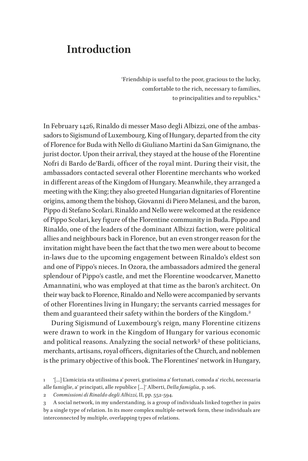### <span id="page-11-0"></span>**Introduction**

'Friendship is useful to the poor, gracious to the lucky, comfortable to the rich, necessary to families, to principalities and to republics.'1

In February 1426, Rinaldo di messer Maso degli Albizzi, one of the ambassadors to Sigismund of Luxembourg, King of Hungary, departed from the city of Florence for Buda with Nello di Giuliano Martini da San Gimignano, the jurist doctor. Upon their arrival, they stayed at the house of the Florentine Nofri di Bardo de'Bardi, officer of the royal mint. During their visit, the ambassadors contacted several other Florentine merchants who worked in different areas of the Kingdom of Hungary. Meanwhile, they arranged a meeting with the King; they also greeted Hungarian dignitaries of Florentine origins, among them the bishop, Giovanni di Piero Melanesi, and the baron, Pippo di Stefano Scolari. Rinaldo and Nello were welcomed at the residence of Pippo Scolari, key figure of the Florentine community in Buda. Pippo and Rinaldo, one of the leaders of the dominant Albizzi faction, were political allies and neighbours back in Florence, but an even stronger reason for the invitation might have been the fact that the two men were about to become in-laws due to the upcoming engagement between Rinaldo's eldest son and one of Pippo's nieces. In Ozora, the ambassadors admired the general splendour of Pippo's castle, and met the Florentine woodcarver, Manetto Amannatini, who was employed at that time as the baron's architect. On their way back to Florence, Rinaldo and Nello were accompanied by servants of other Florentines living in Hungary; the servants carried messages for them and guaranteed their safety within the borders of the Kingdom.<sup>2</sup>

During Sigismund of Luxembourg's reign, many Florentine citizens were drawn to work in the Kingdom of Hungary for various economic and political reasons. Analyzing the social network<sup>3</sup> of these politicians, merchants, artisans, royal officers, dignitaries of the Church, and noblemen is the primary objective of this book. The Florentines' network in Hungary,

2 *Commissioni di Rinaldo degli Albizzi,* II, pp. 552-594.

3 A social network, in my understanding, is a group of individuals linked together in pairs by a single type of relation. In its more complex multiple-network form, these individuals are interconnected by multiple, overlapping types of relations.

<sup>1</sup> '[…] L'amicizia sta utilissima a' poveri, gratissima a' fortunati, comoda a' ricchi, necessaria alle famiglie, a' principati, alle republice […]' Alberti, *Della famiglia*, p. 106.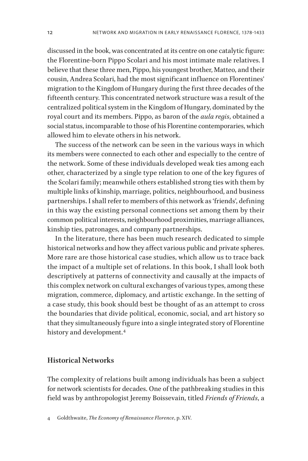<span id="page-12-0"></span>discussed in the book, was concentrated at its centre on one catalytic figure: the Florentine-born Pippo Scolari and his most intimate male relatives. I believe that these three men, Pippo, his youngest brother, Matteo, and their cousin, Andrea Scolari, had the most significant influence on Florentines' migration to the Kingdom of Hungary during the first three decades of the fifteenth century. This concentrated network structure was a result of the centralized political system in the Kingdom of Hungary, dominated by the royal court and its members. Pippo, as baron of the *aula regis*, obtained a social status, incomparable to those of his Florentine contemporaries, which allowed him to elevate others in his network.

The success of the network can be seen in the various ways in which its members were connected to each other and especially to the centre of the network. Some of these individuals developed weak ties among each other, characterized by a single type relation to one of the key figures of the Scolari family; meanwhile others established strong ties with them by multiple links of kinship, marriage, politics, neighbourhood, and business partnerships. I shall refer to members of this network as 'friends', defining in this way the existing personal connections set among them by their common political interests, neighbourhood proximities, marriage alliances, kinship ties, patronages, and company partnerships.

In the literature, there has been much research dedicated to simple historical networks and how they affect various public and private spheres. More rare are those historical case studies, which allow us to trace back the impact of a multiple set of relations. In this book, I shall look both descriptively at patterns of connectivity and causally at the impacts of this complex network on cultural exchanges of various types, among these migration, commerce, diplomacy, and artistic exchange. In the setting of a case study, this book should best be thought of as an attempt to cross the boundaries that divide political, economic, social, and art history so that they simultaneously figure into a single integrated story of Florentine history and development.<sup>4</sup>

### **Historical Networks**

The complexity of relations built among individuals has been a subject for network scientists for decades. One of the pathbreaking studies in this field was by anthropologist Jeremy Boissevain, titled *Friends of Friends*, a

<sup>4</sup> Goldthwaite, *The Economy of Renaissance Florence*, p. XIV.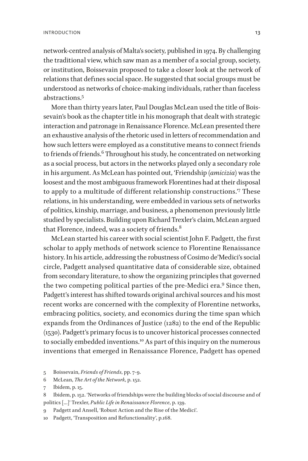network-centred analysis of Malta's society, published in 1974. By challenging the traditional view, which saw man as a member of a social group, society, or institution, Boissevain proposed to take a closer look at the network of relations that defines social space. He suggested that social groups must be understood as networks of choice-making individuals, rather than faceless abstractions.5

More than thirty years later, Paul Douglas McLean used the title of Boissevain's book as the chapter title in his monograph that dealt with strategic interaction and patronage in Renaissance Florence. McLean presented there an exhaustive analysis of the rhetoric used in letters of recommendation and how such letters were employed as a constitutive means to connect friends to friends of friends.<sup>6</sup> Throughout his study, he concentrated on networking as a social process, but actors in the networks played only a secondary role in his argument. As McLean has pointed out, 'Friendship (*amicizia*) was the loosest and the most ambiguous framework Florentines had at their disposal to apply to a multitude of different relationship constructions.'<sup>7</sup> These relations, in his understanding, were embedded in various sets of networks of politics, kinship, marriage, and business, a phenomenon previously little studied by specialists. Building upon Richard Trexler's claim, McLean argued that Florence, indeed, was a society of friends.<sup>8</sup>

McLean started his career with social scientist John F. Padgett, the first scholar to apply methods of network science to Florentine Renaissance history. In his article, addressing the robustness of Cosimo de'Medici's social circle, Padgett analysed quantitative data of considerable size, obtained from secondary literature, to show the organizing principles that governed the two competing political parties of the pre-Medici era.<sup>9</sup> Since then, Padgett's interest has shifted towards original archival sources and his most recent works are concerned with the complexity of Florentine networks, embracing politics, society, and economics during the time span which expands from the Ordinances of Justice (1282) to the end of the Republic (1530). Padgett's primary focus is to uncover historical processes connected to socially embedded inventions.<sup>10</sup> As part of this inquiry on the numerous inventions that emerged in Renaissance Florence, Padgett has opened

- 9 Padgett and Ansell, 'Robust Action and the Rise of the Medici'.
- 10 Padgett, 'Transposition and Refunctionality', p.168.

<sup>5</sup> Boissevain, *Friends of Friends*, pp. 7-9.

<sup>6</sup> McLean, *The Art of the Network*, p. 152.

<sup>7</sup> Ibidem, p. 15.

<sup>8</sup> Ibidem, p. 152. 'Networks of friendships were the building blocks of social discourse and of politics […]' Trexler, *Public Life in Renaissance Florence*, p. 139.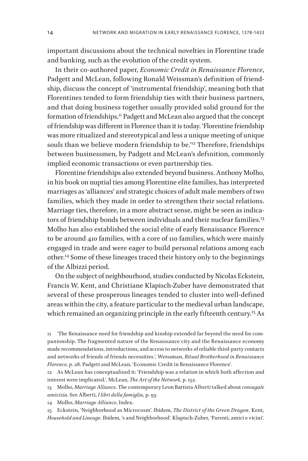important discussions about the technical novelties in Florentine trade and banking, such as the evolution of the credit system.

In their co-authored paper, *Economic Credit in Renaissance Florence*, Padgett and McLean, following Ronald Weissman's definition of friendship, discuss the concept of 'instrumental friendship', meaning both that Florentines tended to form friendship ties with their business partners, and that doing business together usually provided solid ground for the formation of friendships.<sup>11</sup> Padgett and McLean also argued that the concept of friendship was different in Florence than it is today. 'Florentine friendship was more ritualized and stereotypical and less a unique meeting of unique souls than we believe modern friendship to be."<sup>2</sup> Therefore, friendships between businessmen, by Padgett and McLean's definition, commonly implied economic transactions or even partnership ties.

Florentine friendships also extended beyond business. Anthony Molho, in his book on nuptial ties among Florentine elite families, has interpreted marriages as 'alliances' and strategic choices of adult male members of two families, which they made in order to strengthen their social relations. Marriage ties, therefore, in a more abstract sense, might be seen as indicators of friendship bonds between individuals and their nuclear families.<sup>13</sup> Molho has also established the social elite of early Renaissance Florence to be around 410 families, with a core of 110 families, which were mainly engaged in trade and were eager to build personal relations among each other.14 Some of these lineages traced their history only to the beginnings of the Albizzi period.

On the subject of neighbourhood, studies conducted by Nicolas Eckstein, Francis W. Kent, and Christiane Klapisch-Zuber have demonstrated that several of these prosperous lineages tended to cluster into well-defined areas within the city, a feature particular to the medieval urban landscape, which remained an organizing principle in the early fifteenth century.<sup>15</sup> As

14 Molho, *Marriage Alliance*, Index.

15 Eckstein, 'Neighborhood as Microcosm'. Ibidem, *The District of the Green Dragon*. Kent*, Household and Lineage*. Ibidem, 's and Neighborhood'*.* Klapisch-Zuber, 'Parenti, amici e vicini'.

<sup>11</sup> 'The Renaissance need for friendship and kinship extended far beyond the need for companionship. The fragmented nature of the Renaissance city and the Renaissance economy made recommendations, introductions, and access to networks of reliable third-party contacts and networks of friends of friends necessities.'. Weissman, *Ritual Brotherhood in Renaissance Florence,* p. 28. Padgett and McLean, 'Economic Credit in Renaissance Florence'*.* 

<sup>12</sup> As McLean has conceptualized it: 'Friendship was a relation in which both affection and interest were implicated.'. McLean, *The Art of the Network*, p. 152.

<sup>13</sup> Molho, *Marriage Alliance*. The contemporary Leon Battista Alberti talked about *coniugale amicizia*. See Alberti, *I libri della famiglia*, p. 93.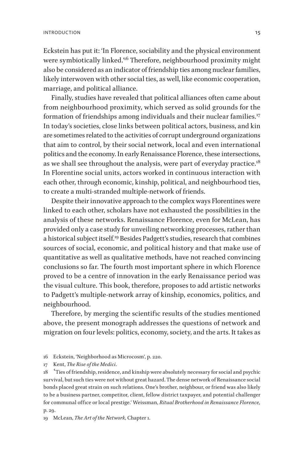Eckstein has put it: 'In Florence, sociability and the physical environment were symbiotically linked.<sup>16</sup> Therefore, neighbourhood proximity might also be considered as an indicator of friendship ties among nuclear families, likely interwoven with other social ties, as well, like economic cooperation, marriage, and political alliance.

Finally, studies have revealed that political alliances often came about from neighbourhood proximity, which served as solid grounds for the formation of friendships among individuals and their nuclear families.<sup>17</sup> In today's societies, close links between political actors, business, and kin are sometimes related to the activities of corrupt underground organizations that aim to control, by their social network, local and even international politics and the economy. In early Renaissance Florence, these intersections, as we shall see throughout the analysis, were part of everyday practice.<sup>18</sup> In Florentine social units, actors worked in continuous interaction with each other, through economic, kinship, political, and neighbourhood ties, to create a multi-stranded multiple-network of friends.

Despite their innovative approach to the complex ways Florentines were linked to each other, scholars have not exhausted the possibilities in the analysis of these networks. Renaissance Florence, even for McLean, has provided only a case study for unveiling networking processes, rather than a historical subject itself.19 Besides Padgett's studies, research that combines sources of social, economic, and political history and that make use of quantitative as well as qualitative methods, have not reached convincing conclusions so far. The fourth most important sphere in which Florence proved to be a centre of innovation in the early Renaissance period was the visual culture. This book, therefore, proposes to add artistic networks to Padgett's multiple-network array of kinship, economics, politics, and neighbourhood.

Therefore, by merging the scientific results of the studies mentioned above, the present monograph addresses the questions of network and migration on four levels: politics, economy, society, and the arts. It takes as

19 McLean, *The Art of the Network*, Chapter 1.

<sup>16</sup> Eckstein, 'Neighborhood as Microcosm', p. 220.

<sup>17</sup> Kent, *The Rise of the Medici*.

<sup>18 &</sup>lt;sup>'</sup>Ties of friendship, residence, and kinship were absolutely necessary for social and psychic survival, but such ties were not without great hazard. The dense network of Renaissance social bonds placed great strain on such relations. One's brother, neighbour, or friend was also likely to be a business partner, competitor, client, fellow district taxpayer, and potential challenger for communal office or local prestige.' Weissman, *Ritual Brotherhood in Renaissance Florence,*  p. 29.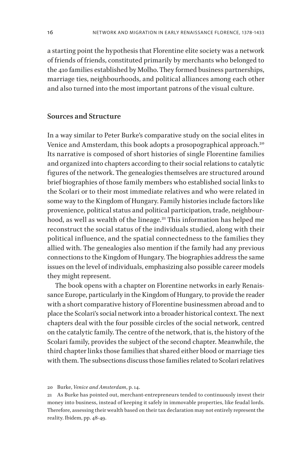<span id="page-16-0"></span>a starting point the hypothesis that Florentine elite society was a network of friends of friends, constituted primarily by merchants who belonged to the 410 families established by Molho. They formed business partnerships, marriage ties, neighbourhoods, and political alliances among each other and also turned into the most important patrons of the visual culture.

### **Sources and Structure**

In a way similar to Peter Burke's comparative study on the social elites in Venice and Amsterdam, this book adopts a prosopographical approach.<sup>20</sup> Its narrative is composed of short histories of single Florentine families and organized into chapters according to their social relations to catalytic figures of the network. The genealogies themselves are structured around brief biographies of those family members who established social links to the Scolari or to their most immediate relatives and who were related in some way to the Kingdom of Hungary. Family histories include factors like provenience, political status and political participation, trade, neighbourhood, as well as wealth of the lineage.<sup>21</sup> This information has helped me reconstruct the social status of the individuals studied, along with their political influence, and the spatial connectedness to the families they allied with. The genealogies also mention if the family had any previous connections to the Kingdom of Hungary. The biographies address the same issues on the level of individuals, emphasizing also possible career models they might represent.

The book opens with a chapter on Florentine networks in early Renaissance Europe, particularly in the Kingdom of Hungary, to provide the reader with a short comparative history of Florentine businessmen abroad and to place the Scolari's social network into a broader historical context. The next chapters deal with the four possible circles of the social network, centred on the catalytic family. The centre of the network, that is, the history of the Scolari family, provides the subject of the second chapter. Meanwhile, the third chapter links those families that shared either blood or marriage ties with them. The subsections discuss those families related to Scolari relatives

20 Burke, *Venice and Amsterdam*, p. 14.

<sup>21</sup> As Burke has pointed out, merchant-entrepreneurs tended to continuously invest their money into business, instead of keeping it safely in immovable properties, like feudal lords. Therefore, assessing their wealth based on their tax declaration may not entirely represent the reality. Ibidem, pp. 48-49.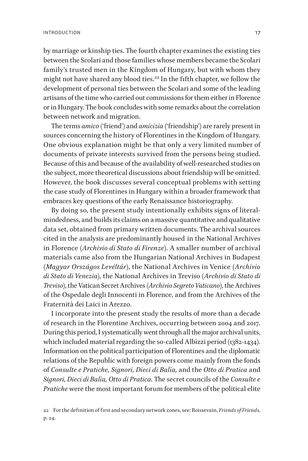by marriage or kinship ties. The fourth chapter examines the existing ties between the Scolari and those families whose members became the Scolari family's trusted men in the Kingdom of Hungary, but with whom they might not have shared any blood ties.<sup>22</sup> In the fifth chapter, we follow the development of personal ties between the Scolari and some of the leading artisans of the time who carried out commissions for them either in Florence or in Hungary. The book concludes with some remarks about the correlation between network and migration.

The terms *amico* ('friend') and *amicizia* ('friendship') are rarely present in sources concerning the history of Florentines in the Kingdom of Hungary. One obvious explanation might be that only a very limited number of documents of private interests survived from the persons being studied. Because of this and because of the availability of well-researched studies on the subject, more theoretical discussions about friendship will be omitted. However, the book discusses several conceptual problems with setting the case study of Florentines in Hungary within a broader framework that embraces key questions of the early Renaissance historiography.

By doing so, the present study intentionally exhibits signs of literalmindedness, and builds its claims on a massive quantitative and qualitative data set, obtained from primary written documents. The archival sources cited in the analysis are predominantly housed in the National Archives in Florence (*Archivio di Stato di Firenze*). A smaller number of archival materials came also from the Hungarian National Archives in Budapest (*Magyar Országos Levéltár*), the National Archives in Venice (*Archivio di Stato di Venezia*), the National Archives in Treviso (*Archivio di Stato di Treviso*), the Vatican Secret Archives (*Archivio Segreto Vaticano*), the Archives of the Ospedale degli Innocenti in Florence, and from the Archives of the Fraternità dei Laici in Arezzo.

I incorporate into the present study the results of more than a decade of research in the Florentine Archives, occurring between 2004 and 2017. During this period, I systematically went through all the major archival units, which included material regarding the so-called Albizzi period (1382-1434). Information on the political participation of Florentines and the diplomatic relations of the Republic with foreign powers come mainly from the fonds of *Consulte e Pratiche, Signori, Dieci di Balìa,* and the *Otto di Pratica* and *Signori, Dieci di Balìa, Otto di Pratica.* The secret councils of the *Consulte e Pratiche* were the most important forum for members of the political elite

<sup>22</sup> For the definition of first and secondary network zones, see: Boissevain, *Friends of Friends*, p. 24.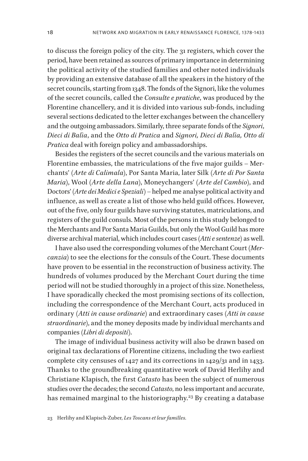to discuss the foreign policy of the city. The 31 registers, which cover the period, have been retained as sources of primary importance in determining the political activity of the studied families and other noted individuals by providing an extensive database of all the speakers in the history of the secret councils, starting from 1348. The fonds of the Signori, like the volumes of the secret councils, called the *Consulte e pratiche*, was produced by the Florentine chancellery, and it is divided into various sub-fonds, including several sections dedicated to the letter exchanges between the chancellery and the outgoing ambassadors. Similarly, three separate fonds of the *Signori*, *Dieci di Balìa*, and the *Otto di Pratica* and *Signori, Dieci di Balìa, Otto di Pratica* deal with foreign policy and ambassadorships.

Besides the registers of the secret councils and the various materials on Florentine embassies, the matriculations of the five major guilds – Merchants' (*Arte di Calimala*), Por Santa Maria, later Silk (*Arte di Por Santa Maria*), Wool (*Arte della Lana*), Moneychangers' (*Arte del Cambio*), and Doctors' (*Arte dei Medici e Speziali*) – helped me analyse political activity and influence, as well as create a list of those who held guild offices. However, out of the five, only four guilds have surviving statutes, matriculations, and registers of the guild consuls. Most of the persons in this study belonged to the Merchants and Por Santa Maria Guilds, but only the Wool Guild has more diverse archival material, which includes court cases (*Atti e sentenze*) as well.

I have also used the corresponding volumes of the Merchant Court (*Mercanzia*) to see the elections for the consuls of the Court. These documents have proven to be essential in the reconstruction of business activity. The hundreds of volumes produced by the Merchant Court during the time period will not be studied thoroughly in a project of this size. Nonetheless, I have sporadically checked the most promising sections of its collection, including the correspondence of the Merchant Court, acts produced in ordinary (*Atti in cause ordinarie*) and extraordinary cases (*Atti in cause straordinarie*), and the money deposits made by individual merchants and companies (*Libri di depositi*).

The image of individual business activity will also be drawn based on original tax declarations of Florentine citizens, including the two earliest complete city censuses of 1427 and its corrections in 1429/31 and in 1433. Thanks to the groundbreaking quantitative work of David Herlihy and Christiane Klapisch, the first *Catasto* has been the subject of numerous studies over the decades; the second *Catasto*, no less important and accurate, has remained marginal to the historiography.<sup>23</sup> By creating a database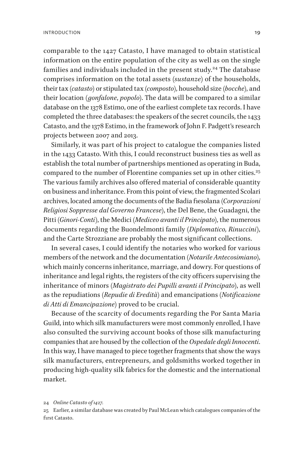comparable to the 1427 Catasto, I have managed to obtain statistical information on the entire population of the city as well as on the single families and individuals included in the present study.<sup>24</sup> The database comprises information on the total assets (*sustanze*) of the households, their tax (*catasto*) or stipulated tax (*composto*), household size (*bocche*), and their location (*gonfalone*, *popolo*). The data will be compared to a similar database on the 1378 Estimo, one of the earliest complete tax records. I have completed the three databases: the speakers of the secret councils, the 1433 Catasto, and the 1378 Estimo, in the framework of John F. Padgett's research projects between 2007 and 2013.

Similarly, it was part of his project to catalogue the companies listed in the 1433 Catasto. With this, I could reconstruct business ties as well as establish the total number of partnerships mentioned as operating in Buda, compared to the number of Florentine companies set up in other cities.<sup>25</sup> The various family archives also offered material of considerable quantity on business and inheritance. From this point of view, the fragmented Scolari archives, located among the documents of the Badia fiesolana (*Corporazioni Religiosi Soppresse dal Governo Francese*), the Del Bene, the Guadagni, the Pitti (*Ginori-Conti*), the Medici (*Mediceo avanti il Principato*), the numerous documents regarding the Buondelmonti family (*Diplomatico, Rinuccini*), and the Carte Strozziane are probably the most significant collections.

In several cases, I could identify the notaries who worked for various members of the network and the documentation (*Notarile Antecosimiano*), which mainly concerns inheritance, marriage, and dowry. For questions of inheritance and legal rights, the registers of the city officers supervising the inheritance of minors (*Magistrato dei Pupilli avanti il Principato*), as well as the repudiations (*Repudie di Eredità*) and emancipations (*Notificazione di Atti di Emancipazione*) proved to be crucial.

Because of the scarcity of documents regarding the Por Santa Maria Guild, into which silk manufacturers were most commonly enrolled, I have also consulted the surviving account books of those silk manufacturing companies that are housed by the collection of the *Ospedale degli Innocenti*. In this way, I have managed to piece together fragments that show the ways silk manufacturers, entrepreneurs, and goldsmiths worked together in producing high-quality silk fabrics for the domestic and the international market.

<sup>24</sup> *Online Catasto of 1427.*

<sup>25</sup> Earlier, a similar database was created by Paul McLean which catalogues companies of the first Catasto.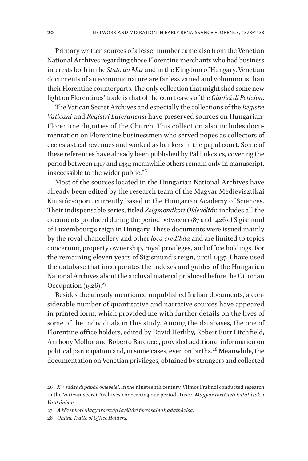Primary written sources of a lesser number came also from the Venetian National Archives regarding those Florentine merchants who had business interests both in the *Stato da Mar* and in the Kingdom of Hungary. Venetian documents of an economic nature are far less varied and voluminous than their Florentine counterparts. The only collection that might shed some new light on Florentines' trade is that of the court cases of the *Giudici di Petizion*.

The Vatican Secret Archives and especially the collections of the *Registri Vaticani* and *Registri Lateranensi* have preserved sources on Hungarian-Florentine dignities of the Church. This collection also includes documentation on Florentine businessmen who served popes as collectors of ecclesiastical revenues and worked as bankers in the papal court. Some of these references have already been published by Pál Lukcsics, covering the period between 1417 and 1431; meanwhile others remain only in manuscript, inaccessible to the wider public.<sup>26</sup>

Most of the sources located in the Hungarian National Archives have already been edited by the research team of the Magyar Medievisztikai Kutatócsoport, currently based in the Hungarian Academy of Sciences. Their indispensable series, titled *Zsigmondkori Oklevéltár*, includes all the documents produced during the period between 1387 and 1426 of Sigismund of Luxembourg's reign in Hungary. These documents were issued mainly by the royal chancellery and other *loca credibila* and are limited to topics concerning property ownership, royal privileges, and office holdings. For the remaining eleven years of Sigismund's reign, until 1437, I have used the database that incorporates the indexes and guides of the Hungarian National Archives about the archival material produced before the Ottoman Occupation  $(1526)^{27}$ 

Besides the already mentioned unpublished Italian documents, a considerable number of quantitative and narrative sources have appeared in printed form, which provided me with further details on the lives of some of the individuals in this study. Among the databases, the one of Florentine office holders, edited by David Herlihy, Robert Burr Litchfield, Anthony Molho, and Roberto Barducci, provided additional information on political participation and, in some cases, even on births.<sup>28</sup> Meanwhile, the documentation on Venetian privileges, obtained by strangers and collected

27 *A középkori Magyarország levéltári forrásainak adatbázisa*.

28 *Online Tratte of Office Holders.*

<sup>26</sup> *XV. századi pápák oklevelei*. In the nineteenth century, Vilmos Fraknói conducted research in the Vatican Secret Archives concerning our period. Tusor, *Magyar történeti kutatások a Vatikánban*.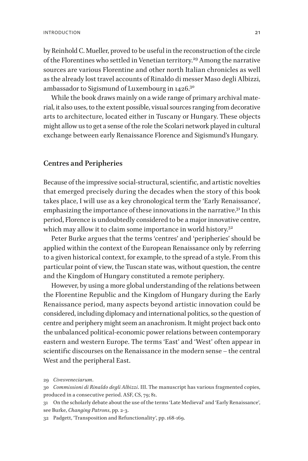<span id="page-21-0"></span>by Reinhold C. Mueller, proved to be useful in the reconstruction of the circle of the Florentines who settled in Venetian territory.<sup>29</sup> Among the narrative sources are various Florentine and other north Italian chronicles as well as the already lost travel accounts of Rinaldo di messer Maso degli Albizzi, ambassador to Sigismund of Luxembourg in 1426.30

While the book draws mainly on a wide range of primary archival material, it also uses, to the extent possible, visual sources ranging from decorative arts to architecture, located either in Tuscany or Hungary. These objects might allow us to get a sense of the role the Scolari network played in cultural exchange between early Renaissance Florence and Sigismund's Hungary.

#### **Centres and Peripheries**

Because of the impressive social-structural, scientific, and artistic novelties that emerged precisely during the decades when the story of this book takes place, I will use as a key chronological term the 'Early Renaissance', emphasizing the importance of these innovations in the narrative.<sup>31</sup> In this period, Florence is undoubtedly considered to be a major innovative centre, which may allow it to claim some importance in world history.<sup>32</sup>

Peter Burke argues that the terms 'centres' and 'peripheries' should be applied within the context of the European Renaissance only by referring to a given historical context, for example, to the spread of a style. From this particular point of view, the Tuscan state was, without question, the centre and the Kingdom of Hungary constituted a remote periphery.

However, by using a more global understanding of the relations between the Florentine Republic and the Kingdom of Hungary during the Early Renaissance period, many aspects beyond artistic innovation could be considered, including diplomacy and international politics, so the question of centre and periphery might seem an anachronism. It might project back onto the unbalanced political-economic power relations between contemporary eastern and western Europe. The terms 'East' and 'West' often appear in scientific discourses on the Renaissance in the modern sense – the central West and the peripheral East.

31 On the scholarly debate about the use of the terms 'Late Medieval' and 'Early Renaissance', see Burke, *Changing Patrons*, pp. 2-3.

<sup>29</sup> *Civesveneciarum*.

<sup>30</sup> *Commissioni di Rinaldo degli Albizzi*. III. The manuscript has various fragmented copies, produced in a consecutive period. ASF, CS, 79; 81.

<sup>32</sup> Padgett, 'Transposition and Refunctionality', pp. 168-169.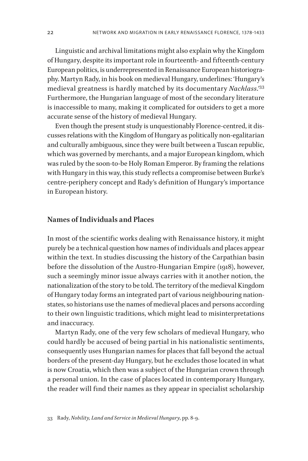<span id="page-22-0"></span>Linguistic and archival limitations might also explain why the Kingdom of Hungary, despite its important role in fourteenth- and fifteenth-century European politics, is underrepresented in Renaissance European historiography. Martyn Rady, in his book on medieval Hungary, underlines: 'Hungary's medieval greatness is hardly matched by its documentary *Nachlass*.'33 Furthermore, the Hungarian language of most of the secondary literature is inaccessible to many, making it complicated for outsiders to get a more accurate sense of the history of medieval Hungary.

Even though the present study is unquestionably Florence-centred, it discusses relations with the Kingdom of Hungary as politically non-egalitarian and culturally ambiguous, since they were built between a Tuscan republic, which was governed by merchants, and a major European kingdom, which was ruled by the soon-to-be Holy Roman Emperor. By framing the relations with Hungary in this way, this study reflects a compromise between Burke's centre-periphery concept and Rady's definition of Hungary's importance in European history.

#### **Names of Individuals and Places**

In most of the scientific works dealing with Renaissance history, it might purely be a technical question how names of individuals and places appear within the text. In studies discussing the history of the Carpathian basin before the dissolution of the Austro-Hungarian Empire (1918), however, such a seemingly minor issue always carries with it another notion, the nationalization of the story to be told. The territory of the medieval Kingdom of Hungary today forms an integrated part of various neighbouring nationstates, so historians use the names of medieval places and persons according to their own linguistic traditions, which might lead to misinterpretations and inaccuracy.

Martyn Rady, one of the very few scholars of medieval Hungary, who could hardly be accused of being partial in his nationalistic sentiments, consequently uses Hungarian names for places that fall beyond the actual borders of the present-day Hungary, but he excludes those located in what is now Croatia, which then was a subject of the Hungarian crown through a personal union. In the case of places located in contemporary Hungary, the reader will find their names as they appear in specialist scholarship